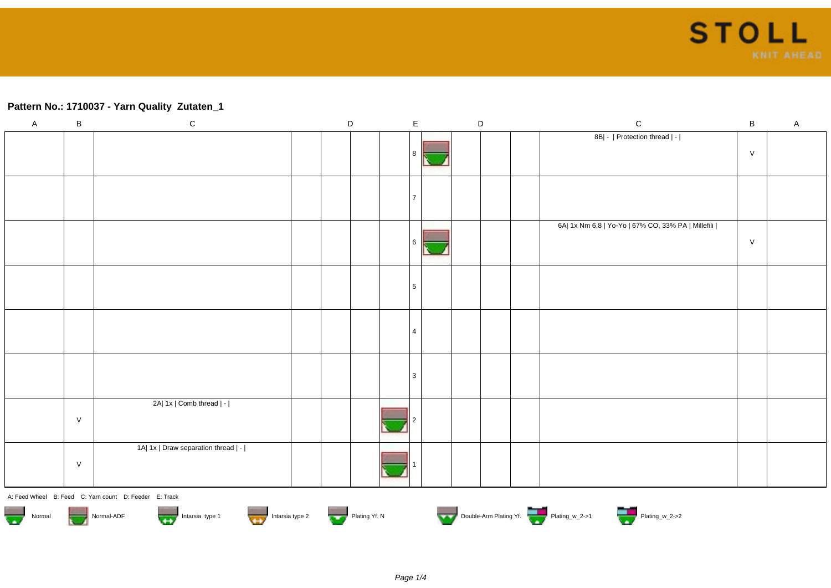## **Pattern No.: 1710037 - Yarn Quality Zutaten\_1**

| $\overline{A}$                     | $\mathsf B$                                                                                                                       | ${\bf C}$                                              |  | $\mathsf D$ |  |  | $\mathsf E$    |  | D |  | ${\bf C}$                                          | $\, {\bf B}$ | $\mathsf A$ |
|------------------------------------|-----------------------------------------------------------------------------------------------------------------------------------|--------------------------------------------------------|--|-------------|--|--|----------------|--|---|--|----------------------------------------------------|--------------|-------------|
|                                    |                                                                                                                                   |                                                        |  |             |  |  |                |  |   |  | 8B  -   Protection thread   -                      | V            |             |
|                                    |                                                                                                                                   |                                                        |  |             |  |  |                |  |   |  |                                                    |              |             |
|                                    |                                                                                                                                   |                                                        |  |             |  |  | 6              |  |   |  | 6A  1x Nm 6,8   Yo-Yo   67% CO, 33% PA   Millefili | V            |             |
|                                    |                                                                                                                                   |                                                        |  |             |  |  | 5              |  |   |  |                                                    |              |             |
|                                    |                                                                                                                                   |                                                        |  |             |  |  | $\overline{a}$ |  |   |  |                                                    |              |             |
|                                    |                                                                                                                                   |                                                        |  |             |  |  | 3              |  |   |  |                                                    |              |             |
|                                    | $\vee$                                                                                                                            | 2A  1x   Comb thread   -                               |  |             |  |  |                |  |   |  |                                                    |              |             |
|                                    | $\vee$                                                                                                                            | 1A  1x   Draw separation thread   -                    |  |             |  |  |                |  |   |  |                                                    |              |             |
|                                    |                                                                                                                                   | A: Feed Wheel B: Feed C: Yarn count D: Feeder E: Track |  |             |  |  |                |  |   |  |                                                    |              |             |
| $\overline{\phantom{a}}$<br>Normal | Double-Arm Plating Yf. Plating w_2->1 Plating W_2->2<br>Intarsia type 1<br>That is a strike type 2<br>Plating Yf. N<br>Normal-ADF |                                                        |  |             |  |  |                |  |   |  |                                                    |              |             |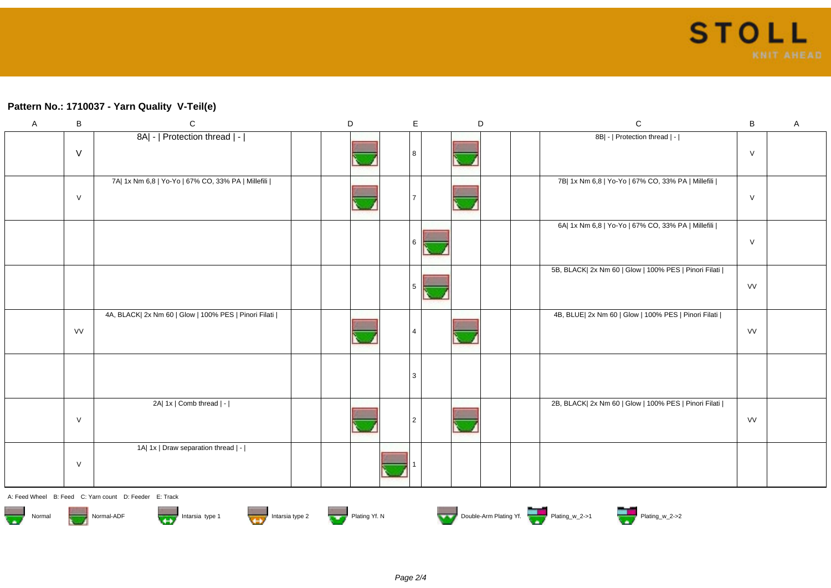## **Pattern No.: 1710037 - Yarn Quality V-Teil(e)**

| $\mathsf A$ | $\, {\bf B}$ | $\mathbf C$                                           | $\mathsf D$ | $\mathsf E$ | $\mathsf D$ | ${\bf C}$                                             | $\sf B$   | $\mathsf A$ |
|-------------|--------------|-------------------------------------------------------|-------------|-------------|-------------|-------------------------------------------------------|-----------|-------------|
|             | $\vee$       | 8A  -   Protection thread   -                         |             |             |             | 8B  -   Protection thread   -                         | ${\sf V}$ |             |
|             | $\vee$       | 7A  1x Nm 6,8   Yo-Yo   67% CO, 33% PA   Millefili    |             |             |             | 7B  1x Nm 6,8   Yo-Yo   67% CO, 33% PA   Millefili    | $\vee$    |             |
|             |              |                                                       |             |             |             | 6A  1x Nm 6,8   Yo-Yo   67% CO, 33% PA   Millefili    | $\vee$    |             |
|             |              |                                                       |             |             |             | 5B, BLACK  2x Nm 60   Glow   100% PES   Pinori Filati | VV        |             |
|             | <b>VV</b>    | 4A, BLACK  2x Nm 60   Glow   100% PES   Pinori Filati |             |             |             | 4B, BLUE  2x Nm 60   Glow   100% PES   Pinori Filati  | VV        |             |
|             |              |                                                       |             | 3           |             |                                                       |           |             |
|             | $\vee$       | 2A  1x   Comb thread   -                              |             | 2           |             | 2B, BLACK  2x Nm 60   Glow   100% PES   Pinori Filati | VV        |             |
|             | $\vee$       | 1A  1x   Draw separation thread   -                   |             |             |             |                                                       |           |             |
|             |              |                                                       |             |             |             |                                                       |           |             |

A: Feed Wheel B: Feed C: Yarn count D: Feeder E: Track













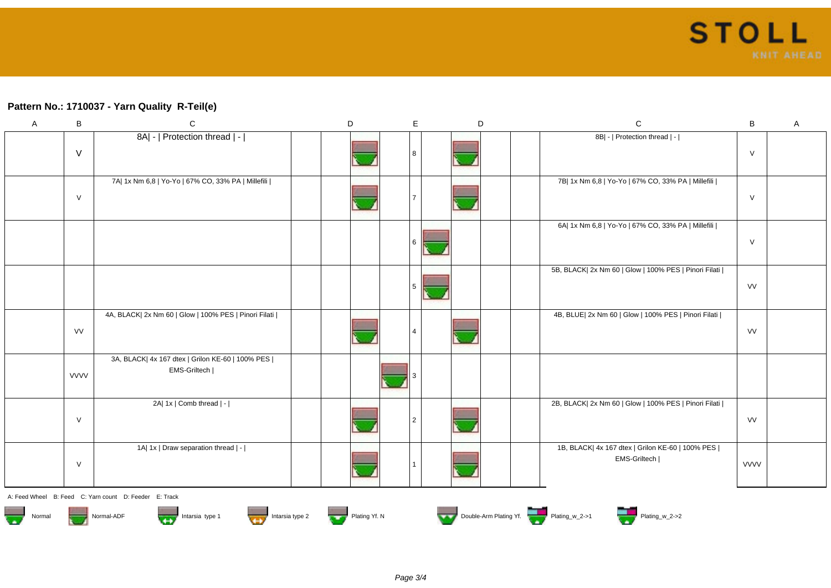## **Pattern No.: 1710037 - Yarn Quality R-Teil(e)**

| $\mathsf{A}$ | B           | $\mathsf C$                                                                         | D | E | $\mathsf D$ | ${\bf C}$                                                          | $\sf B$     | $\mathsf A$ |
|--------------|-------------|-------------------------------------------------------------------------------------|---|---|-------------|--------------------------------------------------------------------|-------------|-------------|
|              |             | 8A  -   Protection thread   -                                                       |   |   |             | 8B  -   Protection thread   -                                      |             |             |
|              | $\vee$      |                                                                                     |   |   |             |                                                                    | $\vee$      |             |
|              |             | 7A   1x Nm 6,8   Yo-Yo   67% CO, 33% PA   Millefili                                 |   |   |             | 7B  1x Nm 6,8   Yo-Yo   67% CO, 33% PA   Millefili                 |             |             |
|              | $\vee$      |                                                                                     |   |   |             |                                                                    | $\vee$      |             |
|              |             |                                                                                     |   |   |             | 6A  1x Nm 6,8   Yo-Yo   67% CO, 33% PA   Millefili                 |             |             |
|              |             |                                                                                     |   | 6 |             |                                                                    | $\vee$      |             |
|              |             |                                                                                     |   |   |             | 5B, BLACK  2x Nm 60   Glow   100% PES   Pinori Filati              |             |             |
|              |             |                                                                                     |   | 5 |             |                                                                    | VV          |             |
|              |             | 4A, BLACK  2x Nm 60   Glow   100% PES   Pinori Filati                               |   |   |             | 4B, BLUE  2x Nm 60   Glow   100% PES   Pinori Filati               |             |             |
|              | <b>VV</b>   |                                                                                     |   |   |             |                                                                    | VV          |             |
|              |             | 3A, BLACK  4x 167 dtex   Grilon KE-60   100% PES  <br>EMS-Griltech                  |   |   |             |                                                                    |             |             |
|              | <b>VVVV</b> |                                                                                     |   |   |             |                                                                    |             |             |
|              |             | 2A  1x   Comb thread   -                                                            |   |   |             | 2B, BLACK  2x Nm 60   Glow   100% PES   Pinori Filati              |             |             |
|              | $\vee$      |                                                                                     |   |   |             |                                                                    | VV          |             |
|              |             | 1A  1x   Draw separation thread   -                                                 |   |   |             | 1B, BLACK  4x 167 dtex   Grilon KE-60   100% PES  <br>EMS-Griltech |             |             |
|              | $\vee$      |                                                                                     |   |   |             |                                                                    | <b>VVVV</b> |             |
|              |             | A: Feed Wheel B: Feed C: Yarn count D: Feeder E: Track                              |   |   |             |                                                                    |             |             |
| Normal       |             | Intarsia type 1 Intarsia type 2 Intarsia type 2 Intario Plating Yf. N<br>Normal-ADF |   |   |             | Double-Arm Plating Yf. Plating_w_2->1 Plating_w_2->2               |             |             |